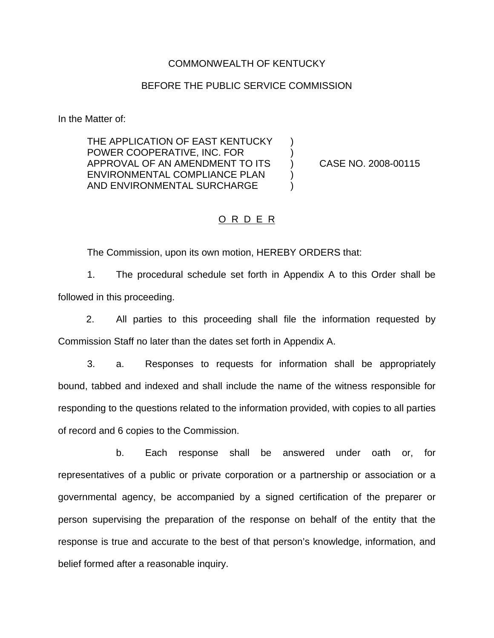#### COMMONWEALTH OF KENTUCKY

### BEFORE THE PUBLIC SERVICE COMMISSION

In the Matter of:

THE APPLICATION OF EAST KENTUCKY ) POWER COOPERATIVE, INC. FOR ) APPROVAL OF AN AMENDMENT TO ITS ) CASE NO. 2008-00115 ENVIRONMENTAL COMPLIANCE PLAN (1) AND ENVIRONMENTAL SURCHARGE )

## O R D E R

The Commission, upon its own motion, HEREBY ORDERS that:

1. The procedural schedule set forth in Appendix A to this Order shall be followed in this proceeding.

2. All parties to this proceeding shall file the information requested by Commission Staff no later than the dates set forth in Appendix A.

3. a. Responses to requests for information shall be appropriately bound, tabbed and indexed and shall include the name of the witness responsible for responding to the questions related to the information provided, with copies to all parties of record and 6 copies to the Commission.

b. Each response shall be answered under oath or, for representatives of a public or private corporation or a partnership or association or a governmental agency, be accompanied by a signed certification of the preparer or person supervising the preparation of the response on behalf of the entity that the response is true and accurate to the best of that person's knowledge, information, and belief formed after a reasonable inquiry.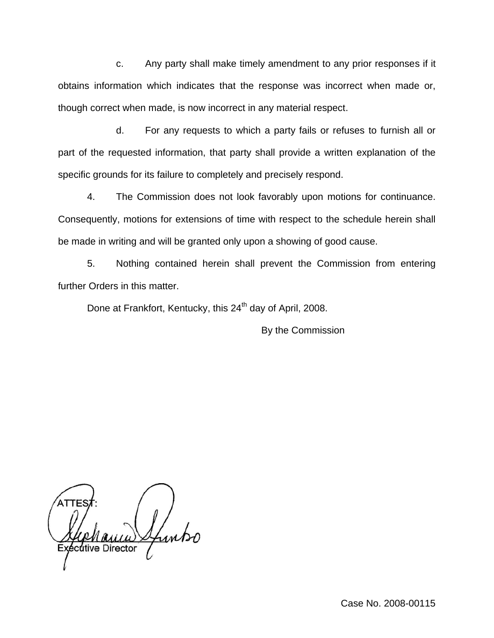c. Any party shall make timely amendment to any prior responses if it obtains information which indicates that the response was incorrect when made or, though correct when made, is now incorrect in any material respect.

d. For any requests to which a party fails or refuses to furnish all or part of the requested information, that party shall provide a written explanation of the specific grounds for its failure to completely and precisely respond.

4. The Commission does not look favorably upon motions for continuance. Consequently, motions for extensions of time with respect to the schedule herein shall be made in writing and will be granted only upon a showing of good cause.

5. Nothing contained herein shall prevent the Commission from entering further Orders in this matter.

Done at Frankfort, Kentucky, this 24<sup>th</sup> day of April, 2008.

By the Commission

cutive Director